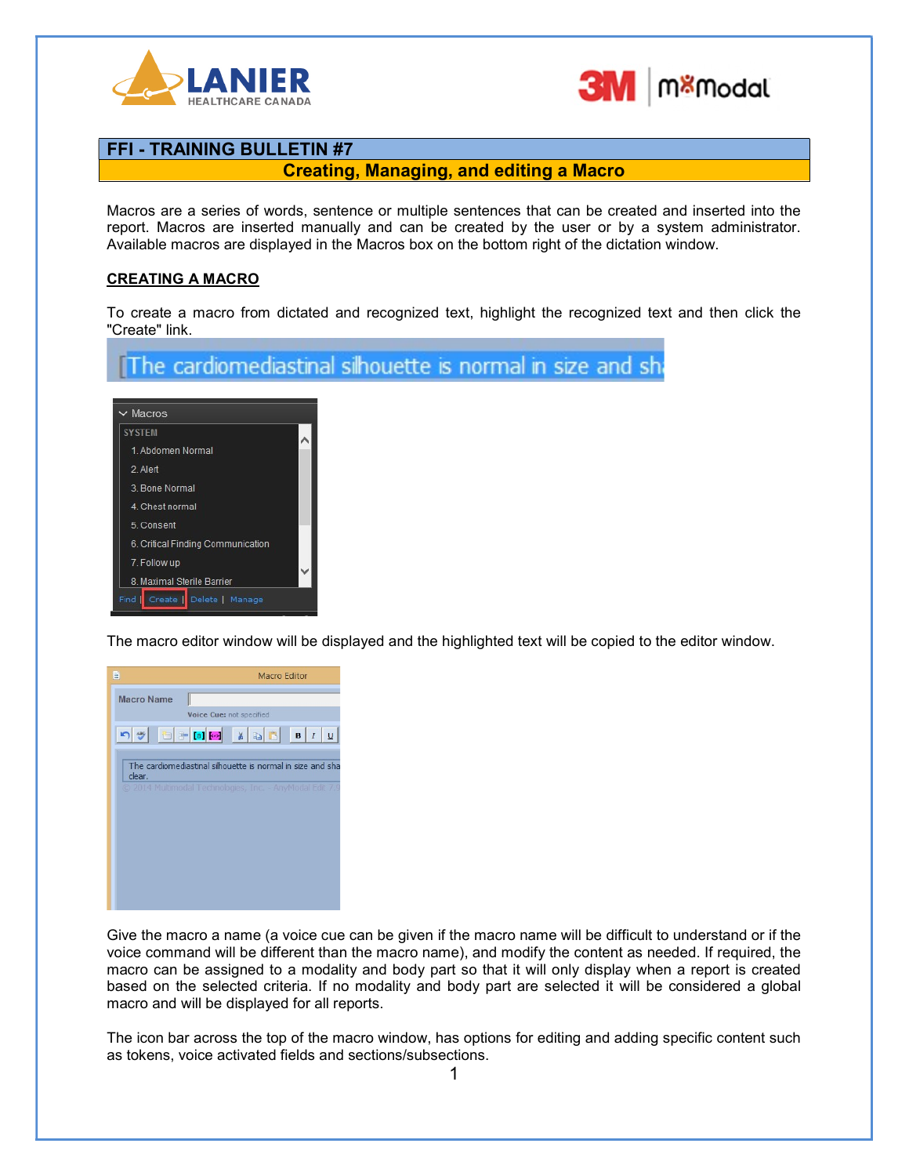



#### Creating, Managing, and editing a Macro

Macros are a series of words, sentence or multiple sentences that can be created and inserted into the report. Macros are inserted manually and can be created by the user or by a system administrator. Available macros are displayed in the Macros box on the bottom right of the dictation window.

#### CREATING A MACRO

To create a macro from dictated and recognized text, highlight the recognized text and then click the "Create" link.

The cardiomediastinal silhouette is normal in size and sh

| $\vee$ Macros                     |  |  |  |  |
|-----------------------------------|--|--|--|--|
| <b>SYSTEM</b>                     |  |  |  |  |
| 1. Abdomen Normal                 |  |  |  |  |
| 2 Alert                           |  |  |  |  |
| 3. Bone Normal                    |  |  |  |  |
| 4. Chest normal                   |  |  |  |  |
| 5. Consent                        |  |  |  |  |
| 6. Critical Finding Communication |  |  |  |  |
| 7. Follow up                      |  |  |  |  |
| 8. Maximal Sterile Barrier        |  |  |  |  |
| Find<br>Create   Delete   Manage  |  |  |  |  |

The macro editor window will be displayed and the highlighted text will be copied to the editor window.



Give the macro a name (a voice cue can be given if the macro name will be difficult to understand or if the voice command will be different than the macro name), and modify the content as needed. If required, the macro can be assigned to a modality and body part so that it will only display when a report is created based on the selected criteria. If no modality and body part are selected it will be considered a global macro and will be displayed for all reports.

The icon bar across the top of the macro window, has options for editing and adding specific content such as tokens, voice activated fields and sections/subsections.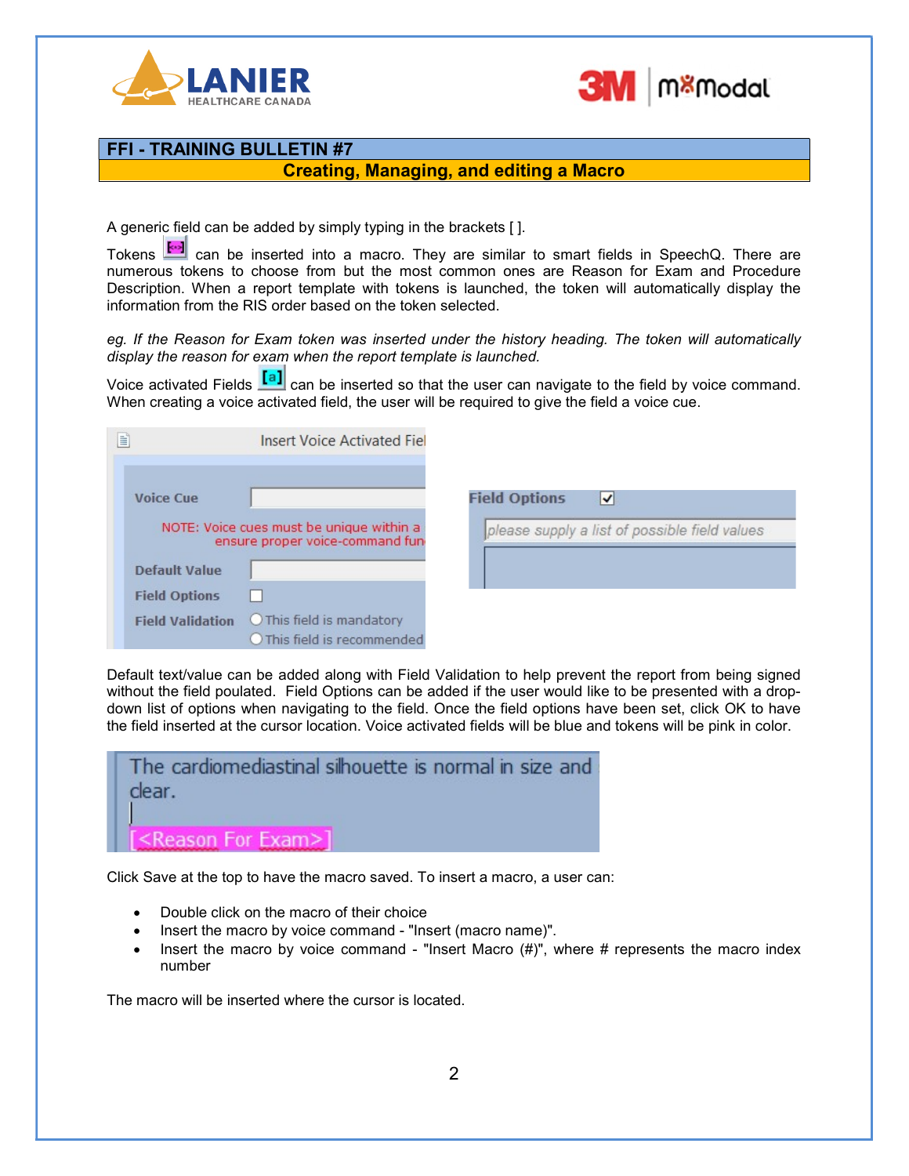



#### Creating, Managing, and editing a Macro

A generic field can be added by simply typing in the brackets [ ].

Tokens **can** can be inserted into a macro. They are similar to smart fields in SpeechQ. There are numerous tokens to choose from but the most common ones are Reason for Exam and Procedure Description. When a report template with tokens is launched, the token will automatically display the information from the RIS order based on the token selected.

eg. If the Reason for Exam token was inserted under the history heading. The token will automatically display the reason for exam when the report template is launched.

Voice activated Fields  $\frac{[a]}{[a]}$  can be inserted so that the user can navigate to the field by voice command. When creating a voice activated field, the user will be required to give the field a voice cue.

| E                                                                            | <b>Insert Voice Activated Fiel</b>                     |                                               |
|------------------------------------------------------------------------------|--------------------------------------------------------|-----------------------------------------------|
| <b>Voice Cue</b>                                                             |                                                        | <b>Field Options</b><br>V                     |
| NOTE: Voice cues must be unique within a<br>ensure proper voice-command fun- |                                                        | please supply a list of possible field values |
| Default Value                                                                |                                                        |                                               |
| <b>Field Options</b>                                                         |                                                        |                                               |
| <b>Field Validation</b>                                                      | O This field is mandatory<br>This field is recommended |                                               |

Default text/value can be added along with Field Validation to help prevent the report from being signed without the field poulated. Field Options can be added if the user would like to be presented with a dropdown list of options when navigating to the field. Once the field options have been set, click OK to have the field inserted at the cursor location. Voice activated fields will be blue and tokens will be pink in color.

| The cardiomediastinal silhouette is normal in size and<br>clear. |
|------------------------------------------------------------------|
| <reason exam="" for="">]</reason>                                |

Click Save at the top to have the macro saved. To insert a macro, a user can:

- Double click on the macro of their choice
- Insert the macro by voice command "Insert (macro name)".
- Insert the macro by voice command "Insert Macro  $(H)$ ", where # represents the macro index number

The macro will be inserted where the cursor is located.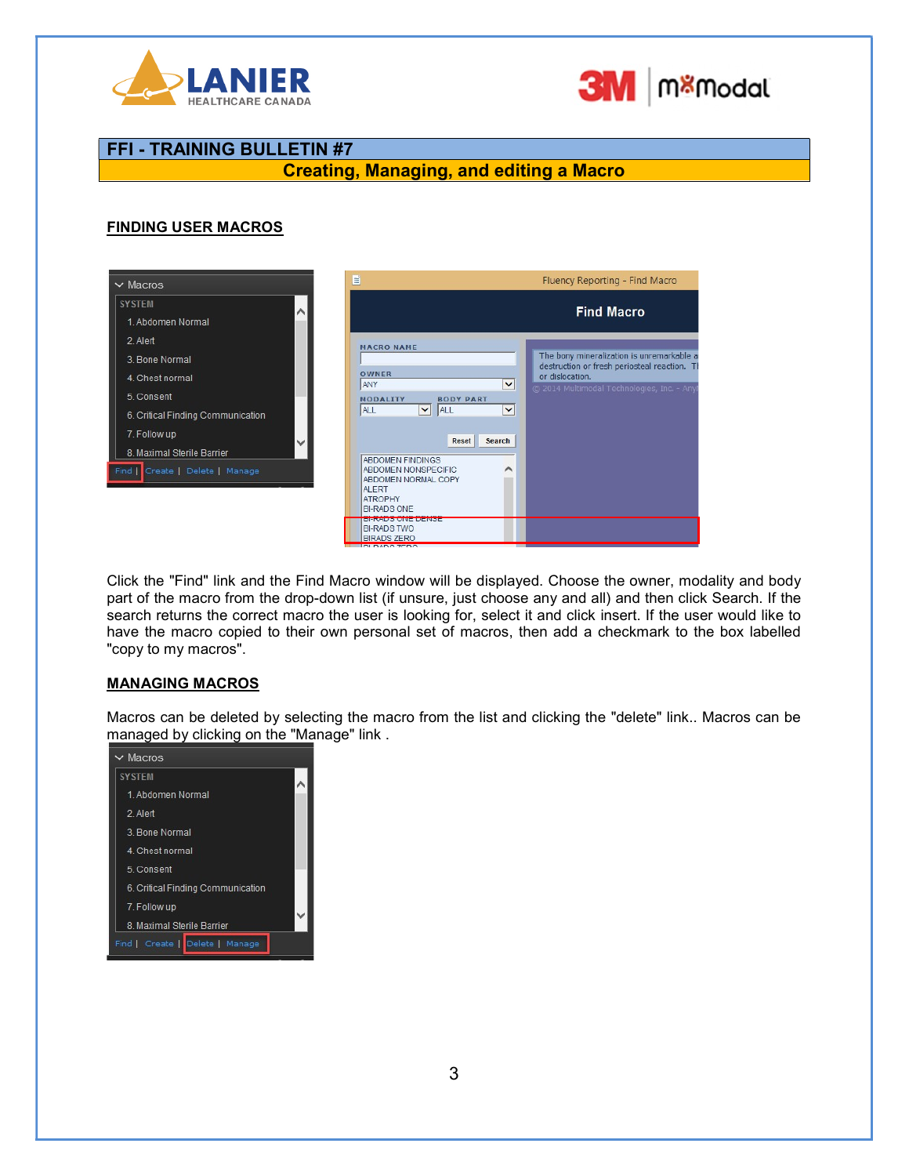



## Creating, Managing, and editing a Macro

#### FINDING USER MACROS

| $\vee$ Macros                                                                                                                                                                                      | 目<br>Fluency Reporting - Find Macro                                                                                                                                                                                                                                                                                                                                                                                                                         |
|----------------------------------------------------------------------------------------------------------------------------------------------------------------------------------------------------|-------------------------------------------------------------------------------------------------------------------------------------------------------------------------------------------------------------------------------------------------------------------------------------------------------------------------------------------------------------------------------------------------------------------------------------------------------------|
| <b>SYSTEM</b><br>$\sim$<br>1. Abdomen Normal                                                                                                                                                       | <b>Find Macro</b>                                                                                                                                                                                                                                                                                                                                                                                                                                           |
| 2. Alert<br>3. Bone Normal<br>4. Chest normal<br>5. Consent<br>6. Critical Finding Communication<br>7. Follow up<br>$\checkmark$<br>8. Maximal Sterile Barrier<br>Create   Delete   Manage<br>Find | <b>MACRO NAME</b><br>The bony mineralization is unremarkable a<br>destruction or fresh periosteal reaction. Th<br>OWNER<br>or dislocation.<br>ANY<br>$\checkmark$<br>C 2014 Multimodal Technologies, Inc. - Any<br><b>MODALITY</b><br><b>BODY PART</b><br>$\vee$ ALL<br>$\checkmark$<br>ALL<br>Reset<br>Search<br><b>ABDOMEN FINDINGS</b><br>∧<br>ABDOMEN NONSPECIFIC<br><b>ABDOMEN NORMAL COPY</b><br><b>ALERT</b><br><b>ATROPHY</b><br><b>BI-RADS ONE</b> |
|                                                                                                                                                                                                    | <b>DENNUO VINE DENOE</b><br><b>BI-RADS TWO</b><br><b>BIRADS ZERO</b>                                                                                                                                                                                                                                                                                                                                                                                        |

Click the "Find" link and the Find Macro window will be displayed. Choose the owner, modality and body part of the macro from the drop-down list (if unsure, just choose any and all) and then click Search. If the search returns the correct macro the user is looking for, select it and click insert. If the user would like to have the macro copied to their own personal set of macros, then add a checkmark to the box labelled "copy to my macros".

#### MANAGING MACROS

Macros can be deleted by selecting the macro from the list and clicking the "delete" link.. Macros can be managed by clicking on the "Manage" link .